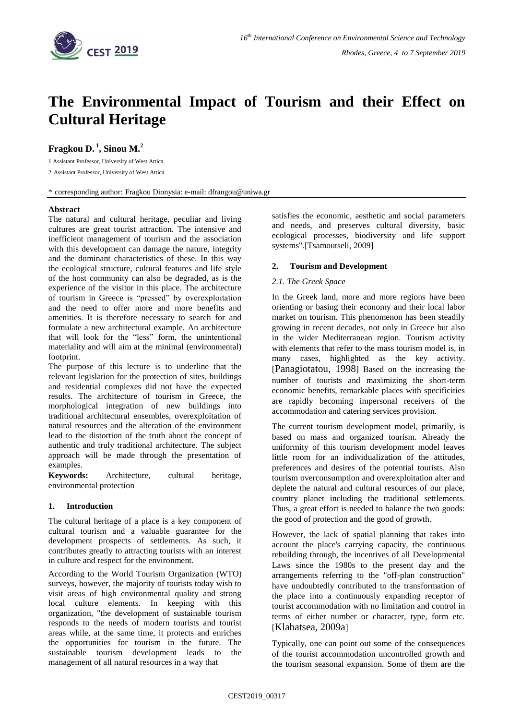

# **The Environmental Impact of Tourism and their Effect on Cultural Heritage**

**Fragkou D. <sup>1</sup> , Sinou M. 2**

1 Assistant Professor, University of West Attica

2 Assistant Professor, University of West Attica

\* corresponding author: Fragkou Dionysia: e-mail: dfrangou@uniwa.gr

## **Abstract**

The natural and cultural heritage, peculiar and living cultures are great tourist attraction. The intensive and inefficient management of tourism and the association with this development can damage the nature, integrity and the dominant characteristics of these. In this way the ecological structure, cultural features and life style of the host community can also be degraded, as is the experience of the visitor in this place. The architecture of tourism in Greece is "pressed" by overexploitation and the need to offer more and more benefits and amenities. It is therefore necessary to search for and formulate a new architectural example. An architecture that will look for the "less" form, the unintentional materiality and will aim at the minimal (environmental) footprint.

The purpose of this lecture is to underline that the relevant legislation for the protection of sites, buildings and residential complexes did not have the expected results. The architecture of tourism in Greece, the morphological integration of new buildings into traditional architectural ensembles, overexploitation of natural resources and the alteration of the environment lead to the distortion of the truth about the concept of authentic and truly traditional architecture. The subject approach will be made through the presentation of examples.

**Keywords:** Architecture, cultural heritage, environmental protection

## **1. Introduction**

The cultural heritage of a place is a key component of cultural tourism and a valuable guarantee for the development prospects of settlements. As such, it contributes greatly to attracting tourists with an interest in culture and respect for the environment.

According to the World Tourism Organization (WTO) surveys, however, the majority of tourists today wish to visit areas of high environmental quality and strong local culture elements. In keeping with this organization, "the development of sustainable tourism responds to the needs of modern tourists and tourist areas while, at the same time, it protects and enriches the opportunities for tourism in the future. The sustainable tourism development leads to the management of all natural resources in a way that

satisfies the economic, aesthetic and social parameters and needs, and preserves cultural diversity, basic ecological processes, biodiversity and life support systems".[Tsamoutseli, 2009]

## **2. Tourism and Development**

## *2.1. The Greek Space*

In the Greek land, more and more regions have been orienting or basing their economy and their local labor market on tourism. This phenomenon has been steadily growing in recent decades, not only in Greece but also in the wider Mediterranean region. Tourism activity with elements that refer to the mass tourism model is, in many cases, highlighted as the key activity. [Panagiotatou, 1998] Based on the increasing the number of tourists and maximizing the short-term economic benefits, remarkable places with specificities are rapidly becoming impersonal receivers of the accommodation and catering services provision.

Τhe current tourism development model, primarily, is based on mass and organized tourism. Already the uniformity of this tourism development model leaves little room for an individualization of the attitudes, preferences and desires of the potential tourists. Also tourism overconsumption and overexploitation alter and deplete the natural and cultural resources of our place, country planet including the traditional settlements. Thus, a great effort is needed to balance the two goods: the good of protection and the good of growth.

However, the lack of spatial planning that takes into account the place's carrying capacity, the continuous rebuilding through, the incentives of all Developmental Laws since the 1980s to the present day and the arrangements referring to the "off-plan construction" have undoubtedly contributed to the transformation of the place into a continuously expanding receptor of tourist accommodation with no limitation and control in terms of either number or character, type, form etc. [Klabatsea, 2009a]

Typically, one can point out some of the consequences of the tourist accommodation uncontrolled growth and the tourism seasonal expansion. Some of them are the